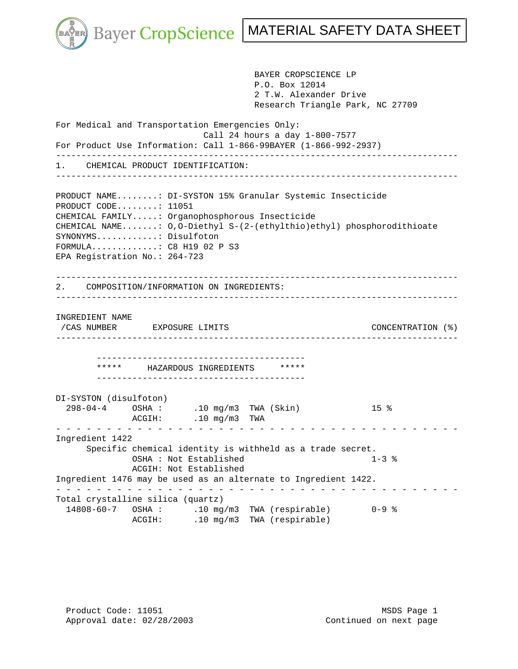

 BAYER CROPSCIENCE LP P.O. Box 12014 2 T.W. Alexander Drive Research Triangle Park, NC 27709 For Medical and Transportation Emergencies Only: Call 24 hours a day 1-800-7577 For Product Use Information: Call 1-866-99BAYER (1-866-992-2937) ------------------------------------------------------------------------------- 1. CHEMICAL PRODUCT IDENTIFICATION: ------------------------------------------------------------------------------- PRODUCT NAME........: DI-SYSTON 15% Granular Systemic Insecticide PRODUCT CODE........: 11051 CHEMICAL FAMILY.....: Organophosphorous Insecticide CHEMICAL NAME.......: O,O-Diethyl S-(2-(ethylthio)ethyl) phosphorodithioate SYNONYMS............: Disulfoton FORMULA.............: C8 H19 02 P S3 EPA Registration No.: 264-723 ------------------------------------------------------------------------------- 2. COMPOSITION/INFORMATION ON INGREDIENTS: ------------------------------------------------------------------------------- INGREDIENT NAME /CAS NUMBER EXPOSURE LIMITS CONCENTRATION (%) ------------------------------------------------------------------------------- ----------------------------------------- \*\*\*\*\* HAZARDOUS INGREDIENTS \*\*\*\*\* ----------------------------------------- DI-SYSTON (disulfoton) 298-04-4 OSHA : .10 mg/m3 TWA (Skin) 15 %  $.10$  mg/m3 TWA - - - - - - - - - - - - - - - - - - - - - - - - - - - - - - - - - - - - - - - - Ingredient 1422 Specific chemical identity is withheld as a trade secret. OSHA : Not Established 1-3 % ACGIH: Not Established Ingredient 1476 may be used as an alternate to Ingredient 1422. - - - - - - - - - - - - - - - - - - - - - - - - - - - - - - - - - - - - - - - - Total crystalline silica (quartz) 14808-60-7 OSHA : .10 mg/m3 TWA (respirable) 0-9 % ACGIH: .10 mg/m3 TWA (respirable)

Product Code: 11051 MSDS Page 1 Approval date:  $02/28/2003$  Continued on next page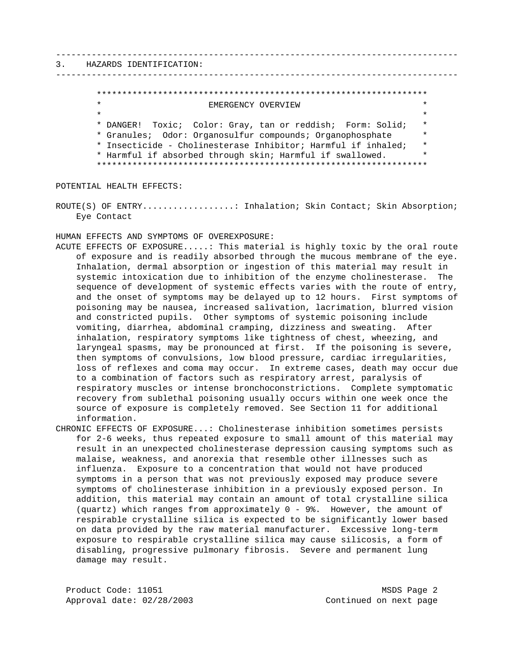### 3. HAZARDS IDENTIFICATION:

## \*\*\*\*\*\*\*\*\*\*\*\*\*\*\*\*\*\*\*\*\*\*\*\*\*\*\*\*\*\*\*\*\*\*\*\*\*\*\*\*\*\*\*\*\*\*\*\*\*\*\*\*\*\*\*\*\*\*\*\*\*\*\*\*\* \* EMERGENCY OVERVIEW \*  $\star$  \* \* DANGER! Toxic; Color: Gray, tan or reddish; Form: Solid; \* \* Granules; Odor: Organosulfur compounds; Organophosphate \* \* Insecticide - Cholinesterase Inhibitor; Harmful if inhaled; \* \* Harmful if absorbed through skin; Harmful if swallowed. \* \*\*\*\*\*\*\*\*\*\*\*\*\*\*\*\*\*\*\*\*\*\*\*\*\*\*\*\*\*\*\*\*\*\*\*\*\*\*\*\*\*\*\*\*\*\*\*\*\*\*\*\*\*\*\*\*\*\*\*\*\*\*\*\*\*

-------------------------------------------------------------------------------

-------------------------------------------------------------------------------

POTENTIAL HEALTH EFFECTS:

ROUTE(S) OF ENTRY.................: Inhalation; Skin Contact; Skin Absorption; Eye Contact

HUMAN EFFECTS AND SYMPTOMS OF OVEREXPOSURE:

- ACUTE EFFECTS OF EXPOSURE.....: This material is highly toxic by the oral route of exposure and is readily absorbed through the mucous membrane of the eye. Inhalation, dermal absorption or ingestion of this material may result in systemic intoxication due to inhibition of the enzyme cholinesterase. The sequence of development of systemic effects varies with the route of entry, and the onset of symptoms may be delayed up to 12 hours. First symptoms of poisoning may be nausea, increased salivation, lacrimation, blurred vision and constricted pupils. Other symptoms of systemic poisoning include vomiting, diarrhea, abdominal cramping, dizziness and sweating. After inhalation, respiratory symptoms like tightness of chest, wheezing, and laryngeal spasms, may be pronounced at first. If the poisoning is severe, then symptoms of convulsions, low blood pressure, cardiac irregularities, loss of reflexes and coma may occur. In extreme cases, death may occur due to a combination of factors such as respiratory arrest, paralysis of respiratory muscles or intense bronchoconstrictions. Complete symptomatic recovery from sublethal poisoning usually occurs within one week once the source of exposure is completely removed. See Section 11 for additional information.
- CHRONIC EFFECTS OF EXPOSURE...: Cholinesterase inhibition sometimes persists for 2-6 weeks, thus repeated exposure to small amount of this material may result in an unexpected cholinesterase depression causing symptoms such as malaise, weakness, and anorexia that resemble other illnesses such as influenza. Exposure to a concentration that would not have produced symptoms in a person that was not previously exposed may produce severe symptoms of cholinesterase inhibition in a previously exposed person. In addition, this material may contain an amount of total crystalline silica (quartz) which ranges from approximately 0 - 9%. However, the amount of respirable crystalline silica is expected to be significantly lower based on data provided by the raw material manufacturer. Excessive long-term exposure to respirable crystalline silica may cause silicosis, a form of disabling, progressive pulmonary fibrosis. Severe and permanent lung damage may result.

Product Code: 11051 MSDS Page 2 Approval date: 02/28/2003 Continued on next page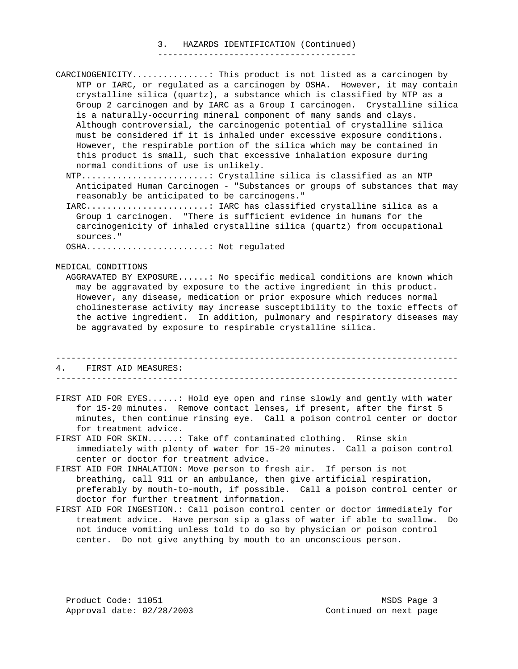#### 3. HAZARDS IDENTIFICATION (Continued) ---------------------------------------

- CARCINOGENICITY...............: This product is not listed as a carcinogen by NTP or IARC, or regulated as a carcinogen by OSHA. However, it may contain crystalline silica (quartz), a substance which is classified by NTP as a Group 2 carcinogen and by IARC as a Group I carcinogen. Crystalline silica is a naturally-occurring mineral component of many sands and clays. Although controversial, the carcinogenic potential of crystalline silica must be considered if it is inhaled under excessive exposure conditions. However, the respirable portion of the silica which may be contained in this product is small, such that excessive inhalation exposure during normal conditions of use is unlikely.
	- NTP.........................: Crystalline silica is classified as an NTP Anticipated Human Carcinogen - "Substances or groups of substances that may reasonably be anticipated to be carcinogens."
	- IARC........................: IARC has classified crystalline silica as a Group 1 carcinogen. "There is sufficient evidence in humans for the carcinogenicity of inhaled crystalline silica (quartz) from occupational sources."

OSHA........................: Not regulated

MEDICAL CONDITIONS

 AGGRAVATED BY EXPOSURE......: No specific medical conditions are known which may be aggravated by exposure to the active ingredient in this product. However, any disease, medication or prior exposure which reduces normal cholinesterase activity may increase susceptibility to the toxic effects of the active ingredient. In addition, pulmonary and respiratory diseases may be aggravated by exposure to respirable crystalline silica.

# ------------------------------------------------------------------------------- 4. FIRST AID MEASURES:

-------------------------------------------------------------------------------

- FIRST AID FOR EYES......: Hold eye open and rinse slowly and gently with water for 15-20 minutes. Remove contact lenses, if present, after the first 5 minutes, then continue rinsing eye. Call a poison control center or doctor for treatment advice.
- FIRST AID FOR SKIN......: Take off contaminated clothing. Rinse skin immediately with plenty of water for 15-20 minutes. Call a poison control center or doctor for treatment advice.
- FIRST AID FOR INHALATION: Move person to fresh air. If person is not breathing, call 911 or an ambulance, then give artificial respiration, preferably by mouth-to-mouth, if possible. Call a poison control center or doctor for further treatment information.
- FIRST AID FOR INGESTION.: Call poison control center or doctor immediately for treatment advice. Have person sip a glass of water if able to swallow. Do not induce vomiting unless told to do so by physician or poison control center. Do not give anything by mouth to an unconscious person.

Product Code: 11051 MSDS Page 3 Approval date:  $02/28/2003$  Continued on next page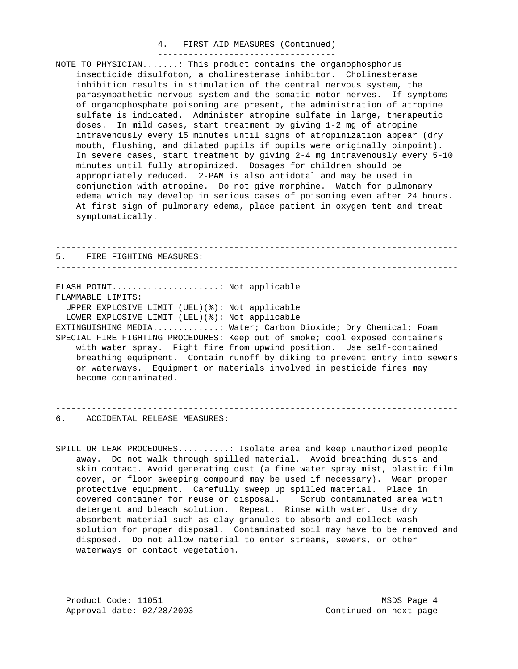#### 4. FIRST AID MEASURES (Continued) -----------------------------------

NOTE TO PHYSICIAN.......: This product contains the organophosphorus insecticide disulfoton, a cholinesterase inhibitor. Cholinesterase inhibition results in stimulation of the central nervous system, the parasympathetic nervous system and the somatic motor nerves. If symptoms of organophosphate poisoning are present, the administration of atropine sulfate is indicated. Administer atropine sulfate in large, therapeutic doses. In mild cases, start treatment by giving 1-2 mg of atropine intravenously every 15 minutes until signs of atropinization appear (dry mouth, flushing, and dilated pupils if pupils were originally pinpoint). In severe cases, start treatment by giving 2-4 mg intravenously every 5-10 minutes until fully atropinized. Dosages for children should be appropriately reduced. 2-PAM is also antidotal and may be used in conjunction with atropine. Do not give morphine. Watch for pulmonary edema which may develop in serious cases of poisoning even after 24 hours. At first sign of pulmonary edema, place patient in oxygen tent and treat symptomatically.

------------------------------------------------------------------------------- 5. FIRE FIGHTING MEASURES: ------------------------------------------------------------------------------- FLASH POINT.......................... Not applicable FLAMMABLE LIMITS: UPPER EXPLOSIVE LIMIT (UEL)(%): Not applicable LOWER EXPLOSIVE LIMIT (LEL)(%): Not applicable EXTINGUISHING MEDIA.............: Water; Carbon Dioxide; Dry Chemical; Foam SPECIAL FIRE FIGHTING PROCEDURES: Keep out of smoke; cool exposed containers with water spray. Fight fire from upwind position. Use self-contained breathing equipment. Contain runoff by diking to prevent entry into sewers or waterways. Equipment or materials involved in pesticide fires may become contaminated.

### ------------------------------------------------------------------------------- 6. ACCIDENTAL RELEASE MEASURES: -------------------------------------------------------------------------------

SPILL OR LEAK PROCEDURES..........: Isolate area and keep unauthorized people away. Do not walk through spilled material. Avoid breathing dusts and skin contact. Avoid generating dust (a fine water spray mist, plastic film cover, or floor sweeping compound may be used if necessary). Wear proper protective equipment. Carefully sweep up spilled material. Place in covered container for reuse or disposal. Scrub contaminated area with detergent and bleach solution. Repeat. Rinse with water. Use dry absorbent material such as clay granules to absorb and collect wash solution for proper disposal. Contaminated soil may have to be removed and disposed. Do not allow material to enter streams, sewers, or other waterways or contact vegetation.

Product Code: 11051 MSDS Page 4 Approval date:  $02/28/2003$  Continued on next page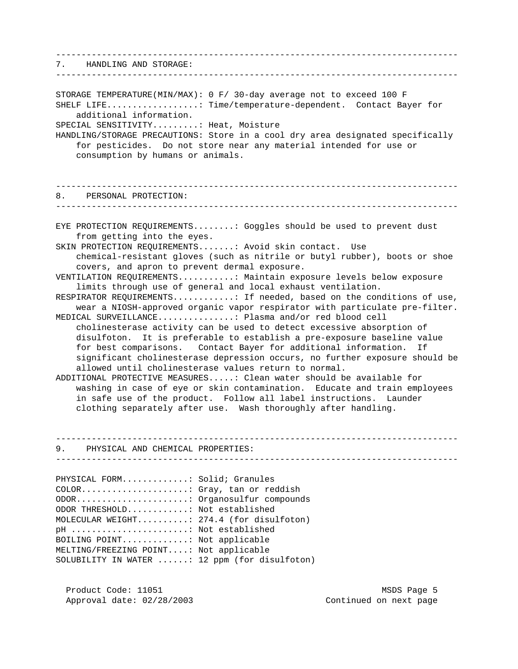------------------------------------------------------------------------------- 7. HANDLING AND STORAGE: ------------------------------------------------------------------------------- STORAGE TEMPERATURE(MIN/MAX): 0 F/ 30-day average not to exceed 100 F SHELF LIFE..................: Time/temperature-dependent. Contact Bayer for additional information. SPECIAL SENSITIVITY.........: Heat, Moisture HANDLING/STORAGE PRECAUTIONS: Store in a cool dry area designated specifically for pesticides. Do not store near any material intended for use or consumption by humans or animals. ------------------------------------------------------------------------------- 8. PERSONAL PROTECTION: ------------------------------------------------------------------------------- EYE PROTECTION REQUIREMENTS........: Goggles should be used to prevent dust from getting into the eyes. SKIN PROTECTION REQUIREMENTS.......: Avoid skin contact. Use chemical-resistant gloves (such as nitrile or butyl rubber), boots or shoe covers, and apron to prevent dermal exposure. VENTILATION REQUIREMENTS...........: Maintain exposure levels below exposure limits through use of general and local exhaust ventilation. RESPIRATOR REQUIREMENTS............: If needed, based on the conditions of use, wear a NIOSH-approved organic vapor respirator with particulate pre-filter. MEDICAL SURVEILLANCE...............: Plasma and/or red blood cell cholinesterase activity can be used to detect excessive absorption of disulfoton. It is preferable to establish a pre-exposure baseline value for best comparisons. Contact Bayer for additional information. If significant cholinesterase depression occurs, no further exposure should be allowed until cholinesterase values return to normal. ADDITIONAL PROTECTIVE MEASURES.....: Clean water should be available for washing in case of eye or skin contamination. Educate and train employees in safe use of the product. Follow all label instructions. Launder clothing separately after use. Wash thoroughly after handling.

------------------------------------------------------------------------------- 9. PHYSICAL AND CHEMICAL PROPERTIES: -------------------------------------------------------------------------------

PHYSICAL FORM.............: Solid; Granules COLOR.....................: Gray, tan or reddish ODOR......................: Organosulfur compounds ODOR THRESHOLD............: Not established MOLECULAR WEIGHT..........: 274.4 (for disulfoton) pH .......................: Not established BOILING POINT.............: Not applicable MELTING/FREEZING POINT....: Not applicable SOLUBILITY IN WATER ......: 12 ppm (for disulfoton)

Product Code: 11051 MSDS Page 5 Approval date:  $02/28/2003$  Continued on next page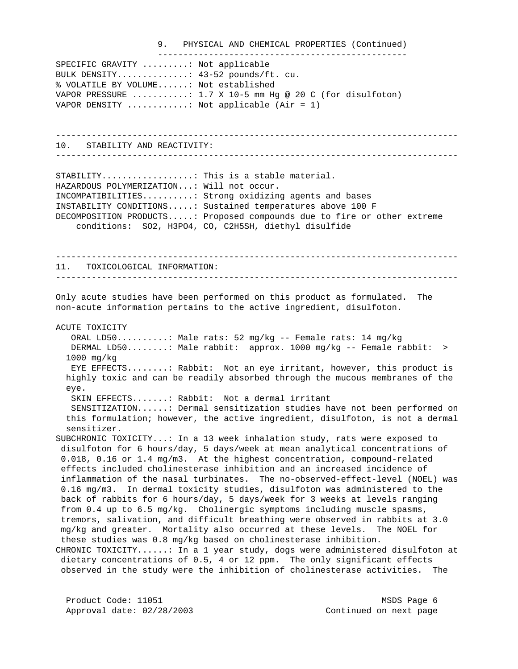#### 9. PHYSICAL AND CHEMICAL PROPERTIES (Continued) -------------------------------------------------

SPECIFIC GRAVITY .........: Not applicable BULK DENSITY..............: 43-52 pounds/ft. cu. % VOLATILE BY VOLUME......: Not established VAPOR PRESSURE  $\dots\dots\dots\dots: 1.7 \times 10-5$  mm Hq @ 20 C (for disulfoton) VAPOR DENSITY  $\ldots \ldots \ldots$  interplicable (Air = 1)

------------------------------------------------------------------------------- 10. STABILITY AND REACTIVITY:

-------------------------------------------------------------------------------

STABILITY..................: This is a stable material. HAZARDOUS POLYMERIZATION...: Will not occur. INCOMPATIBILITIES..........: Strong oxidizing agents and bases INSTABILITY CONDITIONS.....: Sustained temperatures above 100 F DECOMPOSITION PRODUCTS.....: Proposed compounds due to fire or other extreme conditions: SO2, H3PO4, CO, C2H5SH, diethyl disulfide

------------------------------------------------------------------------------- 11. TOXICOLOGICAL INFORMATION: -------------------------------------------------------------------------------

Only acute studies have been performed on this product as formulated. The non-acute information pertains to the active ingredient, disulfoton.

ACUTE TOXICITY

 ORAL LD50..........: Male rats: 52 mg/kg -- Female rats: 14 mg/kg DERMAL LD50........: Male rabbit: approx. 1000 mg/kg -- Female rabbit: > 1000 mg/kg EYE EFFECTS........: Rabbit: Not an eye irritant, however, this product is highly toxic and can be readily absorbed through the mucous membranes of the eye. SKIN EFFECTS.......: Rabbit: Not a dermal irritant SENSITIZATION......: Dermal sensitization studies have not been performed on this formulation; however, the active ingredient, disulfoton, is not a dermal sensitizer. SUBCHRONIC TOXICITY...: In a 13 week inhalation study, rats were exposed to disulfoton for 6 hours/day, 5 days/week at mean analytical concentrations of 0.018, 0.16 or 1.4 mg/m3. At the highest concentration, compound-related effects included cholinesterase inhibition and an increased incidence of inflammation of the nasal turbinates. The no-observed-effect-level (NOEL) was 0.16 mg/m3. In dermal toxicity studies, disulfoton was administered to the back of rabbits for 6 hours/day, 5 days/week for 3 weeks at levels ranging

 from 0.4 up to 6.5 mg/kg. Cholinergic symptoms including muscle spasms, tremors, salivation, and difficult breathing were observed in rabbits at 3.0 mg/kg and greater. Mortality also occurred at these levels. The NOEL for these studies was 0.8 mg/kg based on cholinesterase inhibition. CHRONIC TOXICITY......: In a 1 year study, dogs were administered disulfoton at dietary concentrations of 0.5, 4 or 12 ppm. The only significant effects observed in the study were the inhibition of cholinesterase activities. The

Product Code: 11051 MSDS Page 6 Approval date:  $02/28/2003$  Continued on next page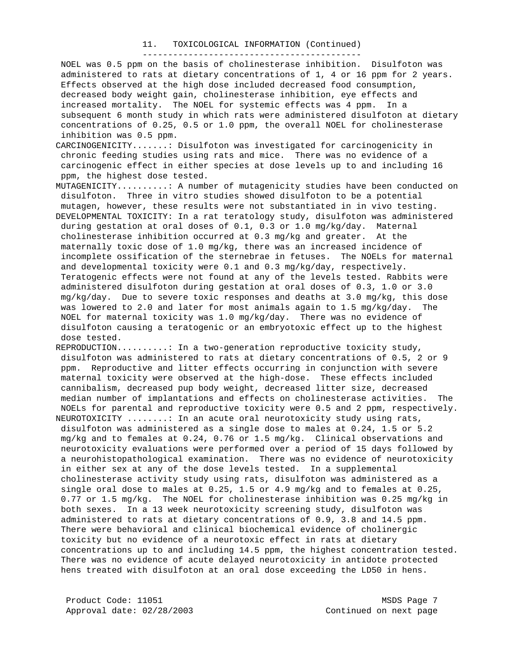#### 11. TOXICOLOGICAL INFORMATION (Continued) -------------------------------------------

 NOEL was 0.5 ppm on the basis of cholinesterase inhibition. Disulfoton was administered to rats at dietary concentrations of 1, 4 or 16 ppm for 2 years. Effects observed at the high dose included decreased food consumption, decreased body weight gain, cholinesterase inhibition, eye effects and increased mortality. The NOEL for systemic effects was 4 ppm. In a subsequent 6 month study in which rats were administered disulfoton at dietary concentrations of 0.25, 0.5 or 1.0 ppm, the overall NOEL for cholinesterase inhibition was 0.5 ppm.

CARCINOGENICITY.......: Disulfoton was investigated for carcinogenicity in chronic feeding studies using rats and mice. There was no evidence of a carcinogenic effect in either species at dose levels up to and including 16 ppm, the highest dose tested.

MUTAGENICITY..........: A number of mutagenicity studies have been conducted on disulfoton. Three in vitro studies showed disulfoton to be a potential mutagen, however, these results were not substantiated in in vivo testing.

DEVELOPMENTAL TOXICITY: In a rat teratology study, disulfoton was administered during gestation at oral doses of 0.1, 0.3 or 1.0 mg/kg/day. Maternal cholinesterase inhibition occurred at 0.3 mg/kg and greater. At the maternally toxic dose of 1.0 mg/kg, there was an increased incidence of incomplete ossification of the sternebrae in fetuses. The NOELs for maternal and developmental toxicity were 0.1 and 0.3 mg/kg/day, respectively. Teratogenic effects were not found at any of the levels tested. Rabbits were administered disulfoton during gestation at oral doses of 0.3, 1.0 or 3.0 mg/kg/day. Due to severe toxic responses and deaths at 3.0 mg/kg, this dose was lowered to 2.0 and later for most animals again to 1.5 mg/kg/day. The NOEL for maternal toxicity was 1.0 mg/kg/day. There was no evidence of disulfoton causing a teratogenic or an embryotoxic effect up to the highest dose tested.

REPRODUCTION..........: In a two-generation reproductive toxicity study, disulfoton was administered to rats at dietary concentrations of 0.5, 2 or 9 ppm. Reproductive and litter effects occurring in conjunction with severe maternal toxicity were observed at the high-dose. These effects included cannibalism, decreased pup body weight, decreased litter size, decreased median number of implantations and effects on cholinesterase activities. The NOELs for parental and reproductive toxicity were 0.5 and 2 ppm, respectively. NEUROTOXICITY ........: In an acute oral neurotoxicity study using rats, disulfoton was administered as a single dose to males at 0.24, 1.5 or 5.2 mg/kg and to females at 0.24, 0.76 or 1.5 mg/kg. Clinical observations and neurotoxicity evaluations were performed over a period of 15 days followed by a neurohistopathological examination. There was no evidence of neurotoxicity in either sex at any of the dose levels tested. In a supplemental cholinesterase activity study using rats, disulfoton was administered as a single oral dose to males at 0.25, 1.5 or 4.9 mg/kg and to females at 0.25, 0.77 or 1.5 mg/kg. The NOEL for cholinesterase inhibition was 0.25 mg/kg in both sexes. In a 13 week neurotoxicity screening study, disulfoton was administered to rats at dietary concentrations of 0.9, 3.8 and 14.5 ppm. There were behavioral and clinical biochemical evidence of cholinergic toxicity but no evidence of a neurotoxic effect in rats at dietary concentrations up to and including 14.5 ppm, the highest concentration tested. There was no evidence of acute delayed neurotoxicity in antidote protected hens treated with disulfoton at an oral dose exceeding the LD50 in hens.

Product Code: 11051 MSDS Page 7 Approval date:  $02/28/2003$  Continued on next page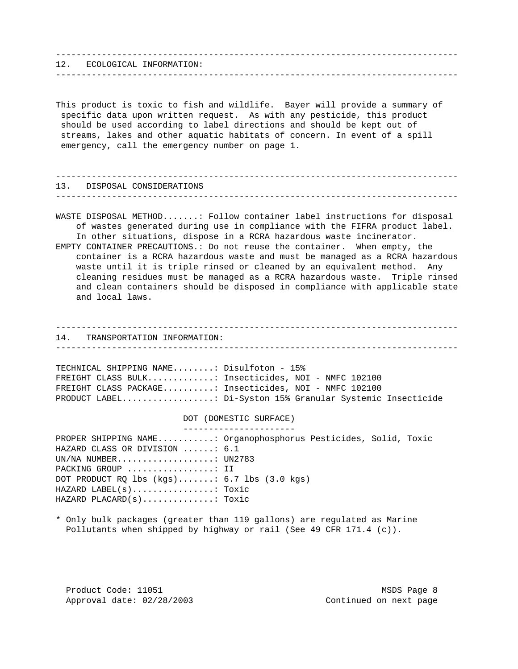------------------------------------------------------------------------------- 12. ECOLOGICAL INFORMATION: ------------------------------------------------------------------------------- This product is toxic to fish and wildlife. Bayer will provide a summary of specific data upon written request. As with any pesticide, this product should be used according to label directions and should be kept out of streams, lakes and other aquatic habitats of concern. In event of a spill emergency, call the emergency number on page 1. ------------------------------------------------------------------------------- 13. DISPOSAL CONSIDERATIONS ------------------------------------------------------------------------------- WASTE DISPOSAL METHOD.......: Follow container label instructions for disposal of wastes generated during use in compliance with the FIFRA product label. In other situations, dispose in a RCRA hazardous waste incinerator. EMPTY CONTAINER PRECAUTIONS.: Do not reuse the container. When empty, the container is a RCRA hazardous waste and must be managed as a RCRA hazardous waste until it is triple rinsed or cleaned by an equivalent method. Any cleaning residues must be managed as a RCRA hazardous waste. Triple rinsed and clean containers should be disposed in compliance with applicable state and local laws. ------------------------------------------------------------------------------- 14. TRANSPORTATION INFORMATION: ------------------------------------------------------------------------------- TECHNICAL SHIPPING NAME........: Disulfoton - 15% FREIGHT CLASS BULK.............: Insecticides, NOI - NMFC 102100 FREIGHT CLASS PACKAGE..........: Insecticides, NOI - NMFC 102100 PRODUCT LABEL..................: Di-Syston 15% Granular Systemic Insecticide DOT (DOMESTIC SURFACE) ---------------------- PROPER SHIPPING NAME...........: Organophosphorus Pesticides, Solid, Toxic HAZARD CLASS OR DIVISION ......: 6.1 UN/NA NUMBER...................: UN2783 PACKING GROUP ....................: II DOT PRODUCT RQ lbs (kgs).......: 6.7 lbs (3.0 kgs) HAZARD LABEL(s)................: Toxic HAZARD PLACARD(s)..............: Toxic \* Only bulk packages (greater than 119 gallons) are regulated as Marine Pollutants when shipped by highway or rail (See 49 CFR 171.4 (c)).

Product Code: 11051 MSDS Page 8 Approval date:  $02/28/2003$  Continued on next page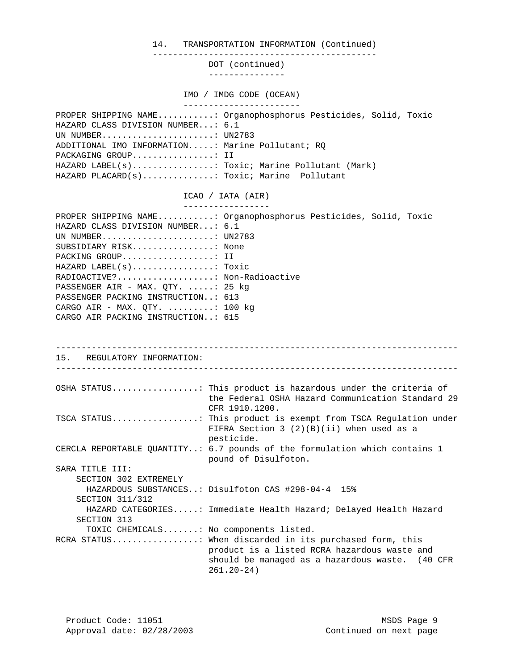14. TRANSPORTATION INFORMATION (Continued)

--------------------------------------------

DOT (continued)

---------------

IMO / IMDG CODE (OCEAN)

 ----------------------- PROPER SHIPPING NAME...........: Organophosphorus Pesticides, Solid, Toxic HAZARD CLASS DIVISION NUMBER...: 6.1 UN NUMBER......................: UN2783 ADDITIONAL IMO INFORMATION.....: Marine Pollutant; RQ PACKAGING GROUP.................: II HAZARD LABEL(s)................: Toxic; Marine Pollutant (Mark) HAZARD PLACARD(s)..............: Toxic; Marine Pollutant

ICAO / IATA (AIR)

| PROPER SHIPPING NAME: Organophosphorus Pesticides, Solid, Toxic |  |  |  |  |  |
|-----------------------------------------------------------------|--|--|--|--|--|
| HAZARD CLASS DIVISION NUMBER: 6.1                               |  |  |  |  |  |
| UN NUMBER UN2783                                                |  |  |  |  |  |
| SUBSIDIARY RISK None                                            |  |  |  |  |  |
| PACKING GROUP II                                                |  |  |  |  |  |
| $HAZARD$ LABEL $(s)$ Toxic                                      |  |  |  |  |  |
| RADIOACTIVE? Non-Radioactive                                    |  |  |  |  |  |
| PASSENGER AIR - MAX. $OTY$ . : 25 kg                            |  |  |  |  |  |
| PASSENGER PACKING INSTRUCTION: 613                              |  |  |  |  |  |
| CARGO AIR - MAX. OTY. $\ldots \ldots \ldots$ : 100 kg           |  |  |  |  |  |
| CARGO AIR PACKING INSTRUCTION: 615                              |  |  |  |  |  |

------------------------------------------------------------------------------- 15. REGULATORY INFORMATION: ------------------------------------------------------------------------------- OSHA STATUS.................: This product is hazardous under the criteria of the Federal OSHA Hazard Communication Standard 29 CFR 1910.1200. TSCA STATUS.................: This product is exempt from TSCA Regulation under FIFRA Section 3 (2)(B)(ii) when used as a pesticide. CERCLA REPORTABLE QUANTITY..: 6.7 pounds of the formulation which contains 1 pound of Disulfoton. SARA TITLE III: SECTION 302 EXTREMELY HAZARDOUS SUBSTANCES..: Disulfoton CAS #298-04-4 15% SECTION 311/312 HAZARD CATEGORIES.....: Immediate Health Hazard; Delayed Health Hazard SECTION 313 TOXIC CHEMICALS.......: No components listed. RCRA STATUS.................: When discarded in its purchased form, this product is a listed RCRA hazardous waste and should be managed as a hazardous waste. (40 CFR 261.20-24)